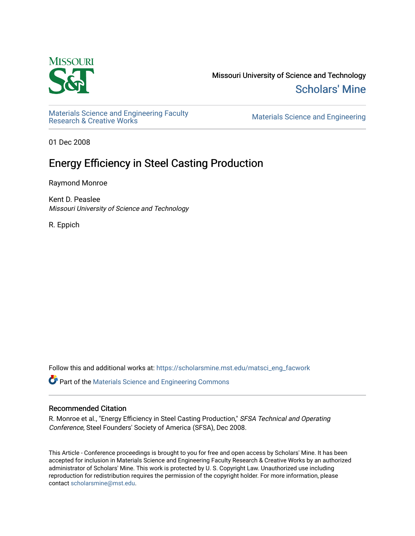

Missouri University of Science and Technology [Scholars' Mine](https://scholarsmine.mst.edu/) 

Materials Science and Engineering Faculty<br>Research & Creative Works

Materials Science and Engineering

01 Dec 2008

# Energy Efficiency in Steel Casting Production

Raymond Monroe

Kent D. Peaslee Missouri University of Science and Technology

R. Eppich

Follow this and additional works at: [https://scholarsmine.mst.edu/matsci\\_eng\\_facwork](https://scholarsmine.mst.edu/matsci_eng_facwork?utm_source=scholarsmine.mst.edu%2Fmatsci_eng_facwork%2F1435&utm_medium=PDF&utm_campaign=PDFCoverPages) 

Part of the [Materials Science and Engineering Commons](http://network.bepress.com/hgg/discipline/285?utm_source=scholarsmine.mst.edu%2Fmatsci_eng_facwork%2F1435&utm_medium=PDF&utm_campaign=PDFCoverPages) 

#### Recommended Citation

R. Monroe et al., "Energy Efficiency in Steel Casting Production," SFSA Technical and Operating Conference, Steel Founders' Society of America (SFSA), Dec 2008.

This Article - Conference proceedings is brought to you for free and open access by Scholars' Mine. It has been accepted for inclusion in Materials Science and Engineering Faculty Research & Creative Works by an authorized administrator of Scholars' Mine. This work is protected by U. S. Copyright Law. Unauthorized use including reproduction for redistribution requires the permission of the copyright holder. For more information, please contact [scholarsmine@mst.edu](mailto:scholarsmine@mst.edu).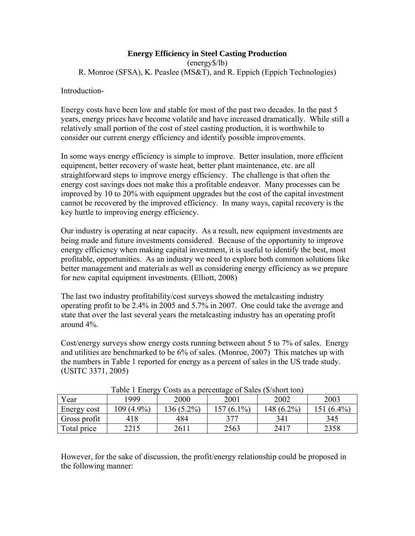## **Energy Efficiency in Steel Casting Production**

(energy\$/lb) R. Monroe (SFSA), K. Peaslee (MS&T), and R. Eppich (Eppich Technologies)

Introduction-

Energy costs have been low and stable for most of the past two decades. In the past 5 years, energy prices have become volatile and have increased dramatically. While still a relatively small portion of the cost of steel casting production, it is worthwhile to consider our current energy efficiency and identify possible improvements.

In some ways energy efficiency is simple to improve. Better insulation, more efficient equipment, better recovery of waste heat, better plant maintenance, etc. are all straightforward steps to improve energy efficiency. The challenge is that often the energy cost savings does not make this a profitable endeavor. Many processes can be improved by 10 to 20% with equipment upgrades but the cost of the capital investment cannot be recovered by the improved efficiency. In many ways, capital recovery is the key hurtle to improving energy efficiency.

Our industry is operating at near capacity. As a result, new equipment investments are being made and future investments considered. Because of the opportunity to improve energy efficiency when making capital investment, it is useful to identify the best, most profitable, opportunities. As an industry we need to explore both common solutions like better management and materials as well as considering energy efficiency as we prepare for new capital equipment investments. (Elliott, 2008)

The last two industry profitability/cost surveys showed the metalcasting industry operating profit to be 2.4% in 2005 and 5.7% in 2007. One could take the average and state that over the last several years the metalcasting industry has an operating profit around 4%.

Cost/energy surveys show energy costs running between about 5 to 7% of sales. Energy and utilities are benchmarked to be 6% of sales. (Monroe, 2007) This matches up with the numbers in Table 1 reported for energy as a percent of sales in the US trade study. (USITC 3371, 2005)

|              |        | Table T Effect Costs as a percentage of saies (\$/short ton) |              |            |            |
|--------------|--------|--------------------------------------------------------------|--------------|------------|------------|
| Year         | 1999   | 2000                                                         | 2001         | 2002       | 2003       |
| Energy cost  | (4.9%) | 136 (5.2%)                                                   | $157(6.1\%)$ | 148 (6.2%) | 151 (6.4%) |
| Gross profit | 418    | 484                                                          | 377          | 341        | 345        |
| Total price  | 2215   | 2611                                                         | 2563         | 2417       | 2358       |

Table 1 Energy Costs as a percentage of Sales (\$/short ton)

However, for the sake of discussion, the profit/energy relationship could be proposed in the following manner: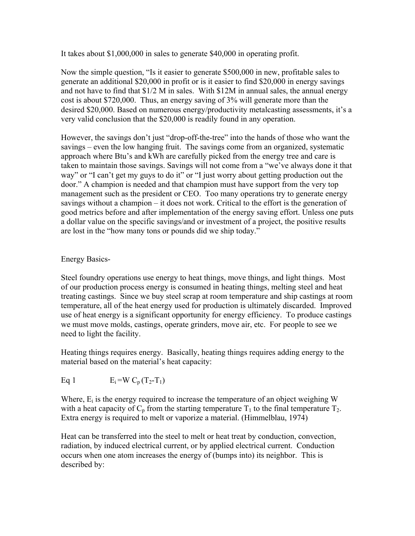It takes about \$1,000,000 in sales to generate \$40,000 in operating profit.

Now the simple question, "Is it easier to generate \$500,000 in new, profitable sales to generate an additional \$20,000 in profit or is it easier to find \$20,000 in energy savings and not have to find that \$1/2 M in sales. With \$12M in annual sales, the annual energy cost is about \$720,000. Thus, an energy saving of 3% will generate more than the desired \$20,000. Based on numerous energy/productivity metalcasting assessments, it's a very valid conclusion that the \$20,000 is readily found in any operation.

However, the savings don't just "drop-off-the-tree" into the hands of those who want the savings – even the low hanging fruit. The savings come from an organized, systematic approach where Btu's and kWh are carefully picked from the energy tree and care is taken to maintain those savings. Savings will not come from a "we've always done it that way" or "I can't get my guys to do it" or "I just worry about getting production out the door." A champion is needed and that champion must have support from the very top management such as the president or CEO. Too many operations try to generate energy savings without a champion – it does not work. Critical to the effort is the generation of good metrics before and after implementation of the energy saving effort. Unless one puts a dollar value on the specific savings/and or investment of a project, the positive results are lost in the "how many tons or pounds did we ship today."

## Energy Basics-

Steel foundry operations use energy to heat things, move things, and light things. Most of our production process energy is consumed in heating things, melting steel and heat treating castings. Since we buy steel scrap at room temperature and ship castings at room temperature, all of the heat energy used for production is ultimately discarded. Improved use of heat energy is a significant opportunity for energy efficiency. To produce castings we must move molds, castings, operate grinders, move air, etc. For people to see we need to light the facility.

Heating things requires energy. Basically, heating things requires adding energy to the material based on the material's heat capacity:

Eq 1  $E_i = W C_p (T_2 - T_1)$ 

Where,  $E_i$  is the energy required to increase the temperature of an object weighing W with a heat capacity of  $C_p$  from the starting temperature  $T_1$  to the final temperature  $T_2$ . Extra energy is required to melt or vaporize a material. (Himmelblau, 1974)

Heat can be transferred into the steel to melt or heat treat by conduction, convection, radiation, by induced electrical current, or by applied electrical current. Conduction occurs when one atom increases the energy of (bumps into) its neighbor. This is described by: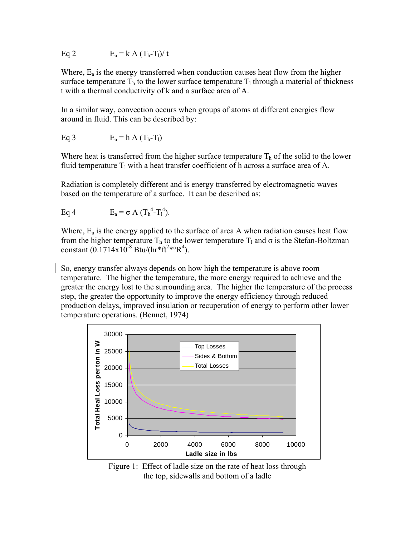Eq 2 
$$
E_a = k A (T_h - T_l) / t
$$

Where, Ea is the energy transferred when conduction causes heat flow from the higher surface temperature  $T<sub>h</sub>$  to the lower surface temperature  $T<sub>l</sub>$  through a material of thickness t with a thermal conductivity of k and a surface area of A.

In a similar way, convection occurs when groups of atoms at different energies flow around in fluid. This can be described by:

Eq 3 
$$
E_a = h A (T_h - T_l)
$$

Where heat is transferred from the higher surface temperature  $T<sub>h</sub>$  of the solid to the lower fluid temperature  $T_1$  with a heat transfer coefficient of h across a surface area of A.

Radiation is completely different and is energy transferred by electromagnetic waves based on the temperature of a surface. It can be described as:

```
Eq 4 E_a = \sigma A (T_h^4 - T_l^4).
```
Where,  $E_a$  is the energy applied to the surface of area A when radiation causes heat flow from the higher temperature T<sub>h</sub> to the lower temperature T<sub>l</sub> and σ is the Stefan-Boltzman constant  $(0.1714 \times 10^{-8} \text{ Btu}/(\text{hr}^*\text{ft}^2*\text{R}^4)$ .

So, energy transfer always depends on how high the temperature is above room temperature. The higher the temperature, the more energy required to achieve and the greater the energy lost to the surrounding area. The higher the temperature of the process step, the greater the opportunity to improve the energy efficiency through reduced production delays, improved insulation or recuperation of energy to perform other lower temperature operations. (Bennet, 1974)



Figure 1: Effect of ladle size on the rate of heat loss through the top, sidewalls and bottom of a ladle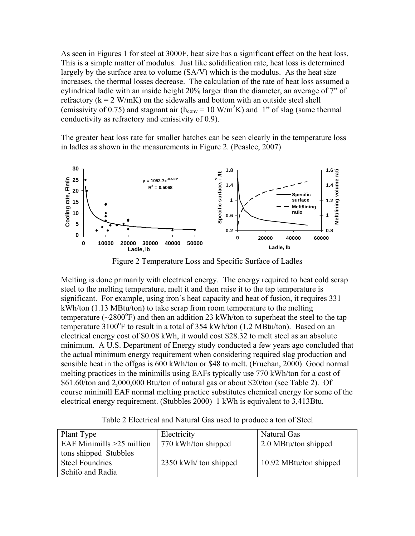As seen in Figures 1 for steel at 3000F, heat size has a significant effect on the heat loss. This is a simple matter of modulus. Just like solidification rate, heat loss is determined largely by the surface area to volume (SA/V) which is the modulus. As the heat size increases, the thermal losses decrease. The calculation of the rate of heat loss assumed a cylindrical ladle with an inside height 20% larger than the diameter, an average of 7" of refractory  $(k = 2 W/mK)$  on the sidewalls and bottom with an outside steel shell (emissivity of 0.75) and stagnant air ( $h_{\text{conv}} = 10 \text{ W/m}^2\text{K}$ ) and 1" of slag (same thermal conductivity as refractory and emissivity of 0.9).

The greater heat loss rate for smaller batches can be seen clearly in the temperature loss in ladles as shown in the measurements in Figure 2. (Peaslee, 2007)



Figure 2 Temperature Loss and Specific Surface of Ladles

Melting is done primarily with electrical energy. The energy required to heat cold scrap steel to the melting temperature, melt it and then raise it to the tap temperature is significant. For example, using iron's heat capacity and heat of fusion, it requires 331 kWh/ton (1.13 MBtu/ton) to take scrap from room temperature to the melting temperature  $(\sim 2800^\circ F)$  and then an addition 23 kWh/ton to superheat the steel to the tap temperature 3100°F to result in a total of 354 kWh/ton (1.2 MBtu/ton). Based on an electrical energy cost of \$0.08 kWh, it would cost \$28.32 to melt steel as an absolute minimum. A U.S. Department of Energy study conducted a few years ago concluded that the actual minimum energy requirement when considering required slag production and sensible heat in the offgas is 600 kWh/ton or \$48 to melt. (Fruehan, 2000) Good normal melting practices in the minimills using EAFs typically use 770 kWh/ton for a cost of \$61.60/ton and 2,000,000 Btu/ton of natural gas or about \$20/ton (see Table 2). Of course minimill EAF normal melting practice substitutes chemical energy for some of the electrical energy requirement. (Stubbles 2000) 1 kWh is equivalent to 3,413Btu.

Table 2 Electrical and Natural Gas used to produce a ton of Steel

| Plant Type                  | Electricity           | Natural Gas            |
|-----------------------------|-----------------------|------------------------|
| EAF Minimills $>25$ million | 770 kWh/ton shipped   | 2.0 MBtu/ton shipped   |
| tons shipped Stubbles       |                       |                        |
| <b>Steel Foundries</b>      | 2350 kWh/ ton shipped | 10.92 MBtu/ton shipped |
| Schifo and Radia            |                       |                        |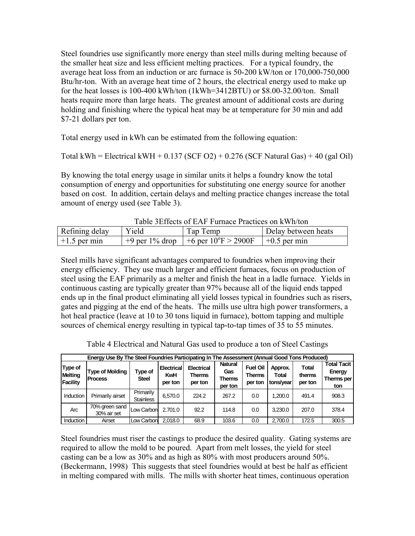Steel foundries use significantly more energy than steel mills during melting because of the smaller heat size and less efficient melting practices. For a typical foundry, the average heat loss from an induction or arc furnace is 50-200 kW/ton or 170,000-750,000 Btu/hr-ton. With an average heat time of 2 hours, the electrical energy used to make up for the heat losses is 100-400 kWh/ton (1kWh=3412BTU) or \$8.00-32.00/ton. Small heats require more than large heats. The greatest amount of additional costs are during holding and finishing where the typical heat may be at temperature for 30 min and add \$7-21 dollars per ton.

Total energy used in kWh can be estimated from the following equation:

Total kWh = Electrical kWH +  $0.137$  (SCF O2) +  $0.276$  (SCF Natural Gas) + 40 (gal Oil)

By knowing the total energy usage in similar units it helps a foundry know the total consumption of energy and opportunities for substituting one energy source for another based on cost. In addition, certain delays and melting practice changes increase the total amount of energy used (see Table 3).

| Table believes of EAT Tuttlace Flactices on KWII/WII |       |                                                       |                     |  |  |  |  |
|------------------------------------------------------|-------|-------------------------------------------------------|---------------------|--|--|--|--|
| Refining delay                                       | Yield | Tap Temp                                              | Delay between heats |  |  |  |  |
| $+1.5$ per min                                       |       | $+9$ per 1% drop   +6 per 10°F > 2900F   +0.5 per min |                     |  |  |  |  |

Table 3Effects of EAF Furnace Practices on kWh/ton

Steel mills have significant advantages compared to foundries when improving their energy efficiency. They use much larger and efficient furnaces, focus on production of steel using the EAF primarily as a melter and finish the heat in a ladle furnace. Yields in continuous casting are typically greater than 97% because all of the liquid ends tapped ends up in the final product eliminating all yield losses typical in foundries such as risers, gates and pigging at the end of the heats. The mills use ultra high power transformers, a hot heal practice (leave at 10 to 30 tons liquid in furnace), bottom tapping and multiple sources of chemical energy resulting in typical tap-to-tap times of 35 to 55 minutes.

|                                | Energy Use By The Steel Foundries Participating In The Assessment (Annual Good Tons Produced) |                               |                                            |                                        |                                            |                                             |                                      |                                   |                                                   |
|--------------------------------|-----------------------------------------------------------------------------------------------|-------------------------------|--------------------------------------------|----------------------------------------|--------------------------------------------|---------------------------------------------|--------------------------------------|-----------------------------------|---------------------------------------------------|
| Type of<br>Melting<br>Facility | <b>Type of Molding</b><br><b>Process</b>                                                      | Type of<br><b>Steel</b>       | <b>Electrical</b><br><b>KwH</b><br>per ton | <b>Electrical</b><br>Therms<br>per ton | <b>Natural</b><br>Gas<br>Therms<br>per ton | <b>Fuel Oil</b><br><b>Therms</b><br>per ton | Approx.<br><b>Total</b><br>tons/vear | <b>Total</b><br>therms<br>per ton | <b>Total Tacit</b><br>Energy<br>Therms per<br>ton |
| Induction                      | Primarily airset                                                                              | Primarily<br><b>Stainless</b> | 6.570.0                                    | 224.2                                  | 267.2                                      | 0.0                                         | 1.200.0                              | 491.4                             | 908.3                                             |
| Arc                            | 70% green sand<br>30% air set                                                                 | Low Carbon                    | 2.701.0                                    | 92.2                                   | 114.8                                      | 0.0                                         | 3.230.0                              | 207.0                             | 378.4                                             |
| <b>Induction</b>               | Airset                                                                                        | Low Carbon                    | 2.018.0                                    | 68.9                                   | 103.6                                      | 0.0                                         | 2.700.0                              | 172.5                             | 300.5                                             |

Table 4 Electrical and Natural Gas used to produce a ton of Steel Castings

Steel foundries must riser the castings to produce the desired quality. Gating systems are required to allow the mold to be poured. Apart from melt losses, the yield for steel casting can be a low as 30% and as high as 80% with most producers around 50%. (Beckermann, 1998) This suggests that steel foundries would at best be half as efficient in melting compared with mills. The mills with shorter heat times, continuous operation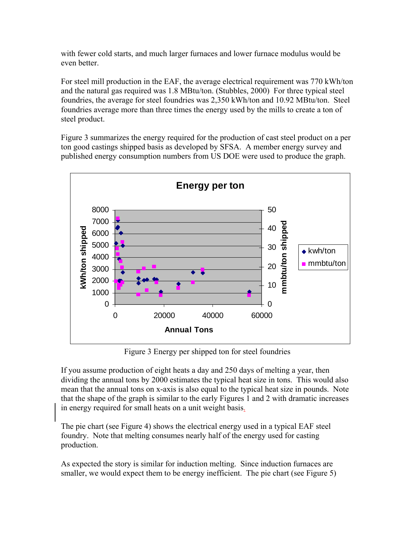with fewer cold starts, and much larger furnaces and lower furnace modulus would be even better.

For steel mill production in the EAF, the average electrical requirement was 770 kWh/ton and the natural gas required was 1.8 MBtu/ton. (Stubbles, 2000) For three typical steel foundries, the average for steel foundries was 2,350 kWh/ton and 10.92 MBtu/ton. Steel foundries average more than three times the energy used by the mills to create a ton of steel product.

Figure 3 summarizes the energy required for the production of cast steel product on a per ton good castings shipped basis as developed by SFSA. A member energy survey and published energy consumption numbers from US DOE were used to produce the graph.



Figure 3 Energy per shipped ton for steel foundries

If you assume production of eight heats a day and 250 days of melting a year, then dividing the annual tons by 2000 estimates the typical heat size in tons. This would also mean that the annual tons on x-axis is also equal to the typical heat size in pounds. Note that the shape of the graph is similar to the early Figures 1 and 2 with dramatic increases in energy required for small heats on a unit weight basis.

The pie chart (see Figure 4) shows the electrical energy used in a typical EAF steel foundry. Note that melting consumes nearly half of the energy used for casting production.

As expected the story is similar for induction melting. Since induction furnaces are smaller, we would expect them to be energy inefficient. The pie chart (see Figure 5)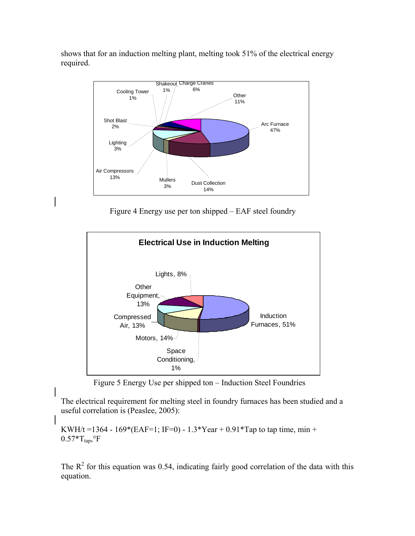shows that for an induction melting plant, melting took 51% of the electrical energy required.



Figure 4 Energy use per ton shipped – EAF steel foundry



Figure 5 Energy Use per shipped ton – Induction Steel Foundries

The electrical requirement for melting steel in foundry furnaces has been studied and a useful correlation is (Peaslee, 2005):

KWH/t = 1364 - 169\*(EAF=1; IF=0) - 1.3\*Year + 0.91\*Tap to tap time, min +  $0.57 \times T_{\text{tap}}$ ,  $\Gamma$ 

The  $R^2$  for this equation was 0.54, indicating fairly good correlation of the data with this equation.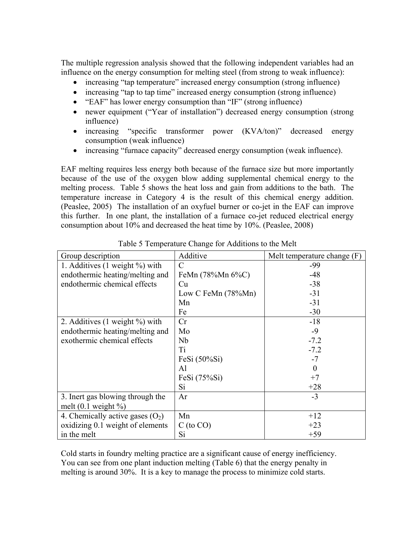The multiple regression analysis showed that the following independent variables had an influence on the energy consumption for melting steel (from strong to weak influence):

- increasing "tap temperature" increased energy consumption (strong influence)
- increasing "tap to tap time" increased energy consumption (strong influence)
- "EAF" has lower energy consumption than "IF" (strong influence)
- newer equipment ("Year of installation") decreased energy consumption (strong influence)
- increasing "specific transformer power (KVA/ton)" decreased energy consumption (weak influence)
- increasing "furnace capacity" decreased energy consumption (weak influence).

EAF melting requires less energy both because of the furnace size but more importantly because of the use of the oxygen blow adding supplemental chemical energy to the melting process. Table 5 shows the heat loss and gain from additions to the bath. The temperature increase in Category 4 is the result of this chemical energy addition. (Peaslee, 2005) The installation of an oxyfuel burner or co-jet in the EAF can improve this further. In one plant, the installation of a furnace co-jet reduced electrical energy consumption about 10% and decreased the heat time by 10%. (Peaslee, 2008)

| Group description                    | Additive              | Melt temperature change (F) |
|--------------------------------------|-----------------------|-----------------------------|
| 1. Additives $(1$ weight $\%$ ) with | $\mathcal{C}$         | $-99$                       |
| endothermic heating/melting and      | FeMn (78%Mn 6%C)      | $-48$                       |
| endothermic chemical effects         | Cu                    | $-38$                       |
|                                      | Low C FeMn $(78\%Mn)$ | $-31$                       |
|                                      | Mn                    | $-31$                       |
|                                      | Fe                    | $-30$                       |
| 2. Additives $(1$ weight $\%$ ) with | Cr                    | $-18$                       |
| endothermic heating/melting and      | Mo                    | $-9$                        |
| exothermic chemical effects          | Nb                    | $-7.2$                      |
|                                      | Ti                    | $-7.2$                      |
|                                      | FeSi $(50\%$ Si)      | $-7$                        |
|                                      | Al                    | $\overline{0}$              |
|                                      | FeSi $(75\%$ Si)      | $+7$                        |
|                                      | Si                    | $+28$                       |
| 3. Inert gas blowing through the     | Ar                    | $-3$                        |
| melt $(0.1$ weight $\%$ )            |                       |                             |
| 4. Chemically active gases $(O_2)$   | Mn                    | $+12$                       |
| oxidizing 0.1 weight of elements     | $C$ (to $CO$ )        | $+23$                       |
| in the melt                          | Si                    | $+59$                       |

Table 5 Temperature Change for Additions to the Melt

Cold starts in foundry melting practice are a significant cause of energy inefficiency. You can see from one plant induction melting (Table 6) that the energy penalty in melting is around 30%. It is a key to manage the process to minimize cold starts.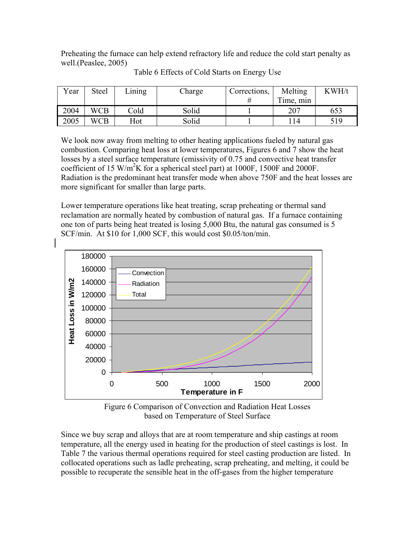Preheating the furnace can help extend refractory life and reduce the cold start penalty as well.(Peaslee, 2005)

| Year | Steel      | Lining | Charge | Corrections, | Melting   | KWH/t |
|------|------------|--------|--------|--------------|-----------|-------|
|      |            |        |        |              | Time, min |       |
| 2004 | <b>WCB</b> | Cold   | Solid  |              | 207       | 653   |
| 2005 | <b>WCB</b> | Hot    | Solid  |              |           | 519   |

Table 6 Effects of Cold Starts on Energy Use

We look now away from melting to other heating applications fueled by natural gas combustion. Comparing heat loss at lower temperatures, Figures 6 and 7 show the heat losses by a steel surface temperature (emissivity of 0.75 and convective heat transfer coefficient of 15 W/m<sup>2</sup>K for a spherical steel part) at 1000F, 1500F and 2000F. Radiation is the predominant heat transfer mode when above 750F and the heat losses are more significant for smaller than large parts.

Lower temperature operations like heat treating, scrap preheating or thermal sand reclamation are normally heated by combustion of natural gas. If a furnace containing one ton of parts being heat treated is losing 5,000 Btu, the natural gas consumed is 5 SCF/min. At \$10 for 1,000 SCF, this would cost \$0.05/ton/min.



Figure 6 Comparison of Convection and Radiation Heat Losses based on Temperature of Steel Surface

Since we buy scrap and alloys that are at room temperature and ship castings at room temperature, all the energy used in heating for the production of steel castings is lost. In Table 7 the various thermal operations required for steel casting production are listed. In collocated operations such as ladle preheating, scrap preheating, and melting, it could be possible to recuperate the sensible heat in the off-gases from the higher temperature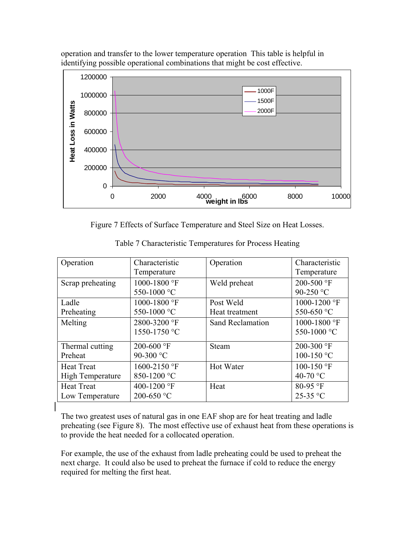

operation and transfer to the lower temperature operation This table is helpful in identifying possible operational combinations that might be cost effective.

Figure 7 Effects of Surface Temperature and Steel Size on Heat Losses.

| Operation               | Characteristic      | Operation               | Characteristic |
|-------------------------|---------------------|-------------------------|----------------|
|                         | Temperature         |                         | Temperature    |
| Scrap preheating        | 1000-1800 °F        | Weld preheat            | 200-500 °F     |
|                         | 550-1000 °C         |                         | 90-250 °C      |
| Ladle                   | 1000-1800 °F        | Post Weld               | 1000-1200 °F   |
| Preheating              | 550-1000 °C         | Heat treatment          | 550-650 °C     |
| Melting                 | 2800-3200 °F        | <b>Sand Reclamation</b> | 1000-1800 °F   |
|                         | 1550-1750 °C        |                         | 550-1000 °C    |
| Thermal cutting         | 200-600 $\degree$ F | Steam                   | 200-300 °F     |
| Preheat                 | 90-300 °C           |                         | 100-150 °C     |
| <b>Heat Treat</b>       | 1600-2150 °F        | Hot Water               | 100-150 °F     |
| <b>High Temperature</b> | 850-1200 °C         |                         | 40-70 °C       |
| <b>Heat Treat</b>       | 400-1200 °F         | Heat                    | 80-95 °F       |
| Low Temperature         | 200-650 °C          |                         | 25-35 °C       |

Table 7 Characteristic Temperatures for Process Heating

The two greatest uses of natural gas in one EAF shop are for heat treating and ladle preheating (see Figure 8). The most effective use of exhaust heat from these operations is to provide the heat needed for a collocated operation.

For example, the use of the exhaust from ladle preheating could be used to preheat the next charge. It could also be used to preheat the furnace if cold to reduce the energy required for melting the first heat.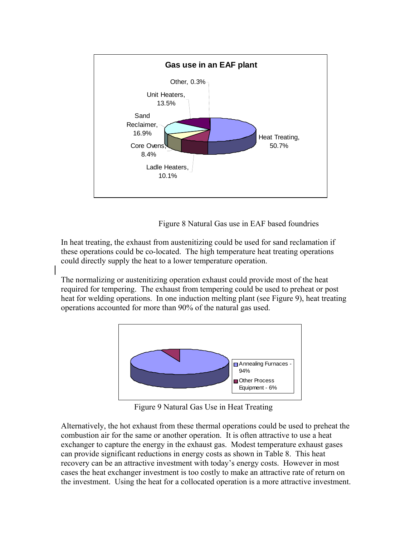

Figure 8 Natural Gas use in EAF based foundries

In heat treating, the exhaust from austenitizing could be used for sand reclamation if these operations could be co-located. The high temperature heat treating operations could directly supply the heat to a lower temperature operation.

The normalizing or austenitizing operation exhaust could provide most of the heat required for tempering. The exhaust from tempering could be used to preheat or post heat for welding operations. In one induction melting plant (see Figure 9), heat treating operations accounted for more than 90% of the natural gas used.



Figure 9 Natural Gas Use in Heat Treating

Alternatively, the hot exhaust from these thermal operations could be used to preheat the combustion air for the same or another operation. It is often attractive to use a heat exchanger to capture the energy in the exhaust gas. Modest temperature exhaust gases can provide significant reductions in energy costs as shown in Table 8. This heat recovery can be an attractive investment with today's energy costs. However in most cases the heat exchanger investment is too costly to make an attractive rate of return on the investment. Using the heat for a collocated operation is a more attractive investment.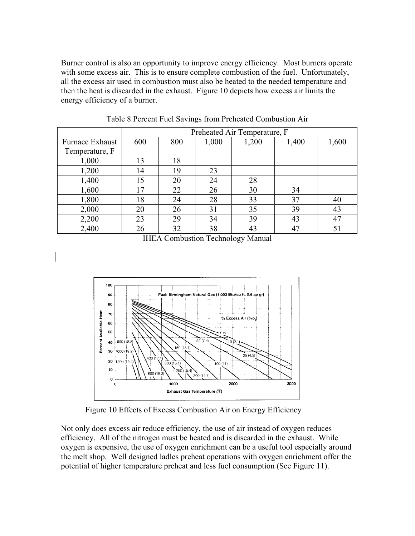Burner control is also an opportunity to improve energy efficiency. Most burners operate with some excess air. This is to ensure complete combustion of the fuel. Unfortunately, all the excess air used in combustion must also be heated to the needed temperature and then the heat is discarded in the exhaust. Figure 10 depicts how excess air limits the energy efficiency of a burner.

|                 | Preheated Air Temperature, F |     |       |       |       |       |
|-----------------|------------------------------|-----|-------|-------|-------|-------|
| Furnace Exhaust | 600                          | 800 | 1,000 | 1,200 | 1,400 | 1,600 |
| Temperature, F  |                              |     |       |       |       |       |
| 1,000           | 13                           | 18  |       |       |       |       |
| 1,200           | 14                           | 19  | 23    |       |       |       |
| 1,400           | 15                           | 20  | 24    | 28    |       |       |
| 1,600           | 17                           | 22  | 26    | 30    | 34    |       |
| 1,800           | 18                           | 24  | 28    | 33    | 37    | 40    |
| 2,000           | 20                           | 26  | 31    | 35    | 39    | 43    |
| 2,200           | 23                           | 29  | 34    | 39    | 43    | 47    |
| 2,400           | 26                           | 32  | 38    | 43    | 47    | 51    |

Table 8 Percent Fuel Savings from Preheated Combustion Air

IHEA Combustion Technology Manual



Figure 10 Effects of Excess Combustion Air on Energy Efficiency

Not only does excess air reduce efficiency, the use of air instead of oxygen reduces efficiency. All of the nitrogen must be heated and is discarded in the exhaust. While oxygen is expensive, the use of oxygen enrichment can be a useful tool especially around the melt shop. Well designed ladles preheat operations with oxygen enrichment offer the potential of higher temperature preheat and less fuel consumption (See Figure 11).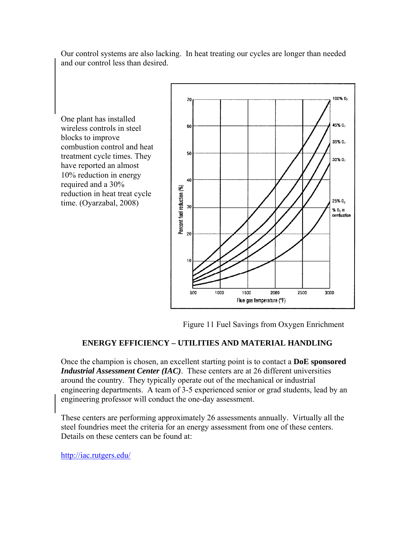100% 0, 70 45% Q<sub>2</sub> 60 35% 0, combustion control and heat 50 treatment cycle times. They 30% 02 40 Percent fuel reduction (%) reduction in heat treat cycle  $25\%0$ 30 %  $0<sub>2</sub>$  in combustion  $20$  $10$  $100<sub>D</sub>$ **2000** 500 1500 2500 3000 Flue gas temperature (°F)

Our control systems are also lacking. In heat treating our cycles are longer than needed and our control less than desired.

Figure 11 Fuel Savings from Oxygen Enrichment

## **ENERGY EFFICIENCY – UTILITIES AND MATERIAL HANDLING**

Once the champion is chosen, an excellent starting point is to contact a **DoE sponsored**  *Industrial Assessment Center (IAC)*. These centers are at 26 different universities around the country. They typically operate out of the mechanical or industrial engineering departments. A team of 3-5 experienced senior or grad students, lead by an engineering professor will conduct the one-day assessment.

These centers are performing approximately 26 assessments annually. Virtually all the steel foundries meet the criteria for an energy assessment from one of these centers. Details on these centers can be found at:

http://iac.rutgers.edu/

One plant has installed wireless controls in steel

have reported an almost 10% reduction in energy required and a 30%

time. (Oyarzabal, 2008)

blocks to improve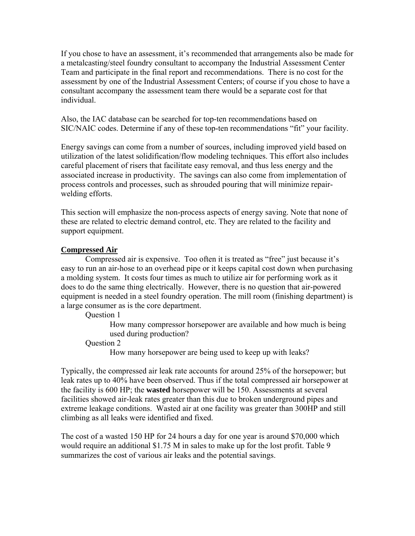If you chose to have an assessment, it's recommended that arrangements also be made for a metalcasting/steel foundry consultant to accompany the Industrial Assessment Center Team and participate in the final report and recommendations. There is no cost for the assessment by one of the Industrial Assessment Centers; of course if you chose to have a consultant accompany the assessment team there would be a separate cost for that individual.

Also, the IAC database can be searched for top-ten recommendations based on SIC/NAIC codes. Determine if any of these top-ten recommendations "fit" your facility.

Energy savings can come from a number of sources, including improved yield based on utilization of the latest solidification/flow modeling techniques. This effort also includes careful placement of risers that facilitate easy removal, and thus less energy and the associated increase in productivity. The savings can also come from implementation of process controls and processes, such as shrouded pouring that will minimize repairwelding efforts.

This section will emphasize the non-process aspects of energy saving. Note that none of these are related to electric demand control, etc. They are related to the facility and support equipment.

#### **Compressed Air**

 Compressed air is expensive. Too often it is treated as "free" just because it's easy to run an air-hose to an overhead pipe or it keeps capital cost down when purchasing a molding system. It costs four times as much to utilize air for performing work as it does to do the same thing electrically. However, there is no question that air-powered equipment is needed in a steel foundry operation. The mill room (finishing department) is a large consumer as is the core department.

Question 1

How many compressor horsepower are available and how much is being used during production?

Question 2

How many horsepower are being used to keep up with leaks?

Typically, the compressed air leak rate accounts for around 25% of the horsepower; but leak rates up to 40% have been observed. Thus if the total compressed air horsepower at the facility is 600 HP; the **wasted** horsepower will be 150. Assessments at several facilities showed air-leak rates greater than this due to broken underground pipes and extreme leakage conditions. Wasted air at one facility was greater than 300HP and still climbing as all leaks were identified and fixed.

The cost of a wasted 150 HP for 24 hours a day for one year is around \$70,000 which would require an additional \$1.75 M in sales to make up for the lost profit. Table 9 summarizes the cost of various air leaks and the potential savings.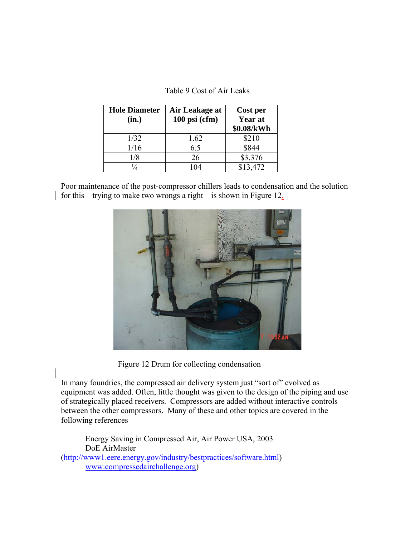| Table 9 Cost of Air Leaks |  |  |  |
|---------------------------|--|--|--|
|---------------------------|--|--|--|

| <b>Hole Diameter</b><br>(in.) | Air Leakage at<br>$100$ psi (cfm) | Cost per<br>Year at<br>\$0.08/kWh |
|-------------------------------|-----------------------------------|-----------------------------------|
| 1/32                          | 1.62                              | \$210                             |
| 1/16                          | 6.5                               | \$844                             |
| 1/8                           | 26                                | \$3,376                           |
| $\frac{1}{4}$                 | 104                               | \$13,472                          |

Poor maintenance of the post-compressor chillers leads to condensation and the solution for this – trying to make two wrongs a right – is shown in Figure 12.



Figure 12 Drum for collecting condensation

In many foundries, the compressed air delivery system just "sort of" evolved as equipment was added. Often, little thought was given to the design of the piping and use of strategically placed receivers. Compressors are added without interactive controls between the other compressors. Many of these and other topics are covered in the following references

 Energy Saving in Compressed Air, Air Power USA, 2003 DoE AirMaster (http://www1.eere.energy.gov/industry/bestpractices/software.html) www.compressedairchallenge.org)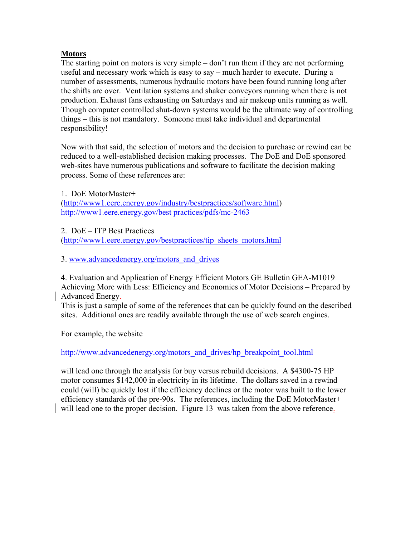### **Motors**

The starting point on motors is very simple – don't run them if they are not performing useful and necessary work which is easy to say – much harder to execute. During a number of assessments, numerous hydraulic motors have been found running long after the shifts are over. Ventilation systems and shaker conveyors running when there is not production. Exhaust fans exhausting on Saturdays and air makeup units running as well. Though computer controlled shut-down systems would be the ultimate way of controlling things – this is not mandatory. Someone must take individual and departmental responsibility!

Now with that said, the selection of motors and the decision to purchase or rewind can be reduced to a well-established decision making processes. The DoE and DoE sponsored web-sites have numerous publications and software to facilitate the decision making process. Some of these references are:

1. DoE MotorMaster+ (http://www1.eere.energy.gov/industry/bestpractices/software.html) http://www1.eere.energy.gov/best practices/pdfs/mc-2463

2. DoE – ITP Best Practices

(http://www1.eere.energy.gov/bestpractices/tip\_sheets\_motors.html

3. www.advancedenergy.org/motors\_and\_drives

4. Evaluation and Application of Energy Efficient Motors GE Bulletin GEA-M1019 Achieving More with Less: Efficiency and Economics of Motor Decisions – Prepared by Advanced Energy.

This is just a sample of some of the references that can be quickly found on the described sites. Additional ones are readily available through the use of web search engines.

For example, the website

http://www.advancedenergy.org/motors\_and\_drives/hp\_breakpoint\_tool.html

will lead one through the analysis for buy versus rebuild decisions. A \$4300-75 HP motor consumes \$142,000 in electricity in its lifetime. The dollars saved in a rewind could (will) be quickly lost if the efficiency declines or the motor was built to the lower efficiency standards of the pre-90s. The references, including the DoE MotorMaster+ will lead one to the proper decision. Figure 13 was taken from the above reference.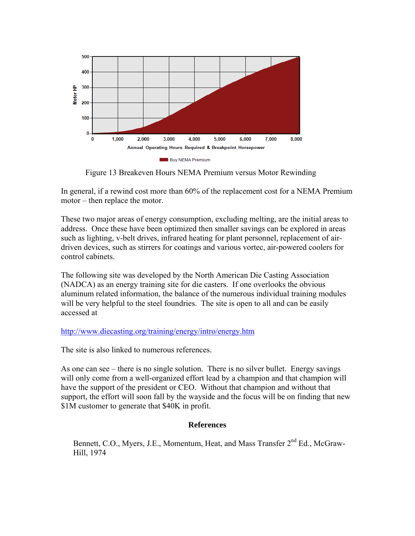

Figure 13 Breakeven Hours NEMA Premium versus Motor Rewinding

In general, if a rewind cost more than 60% of the replacement cost for a NEMA Premium motor – then replace the motor.

These two major areas of energy consumption, excluding melting, are the initial areas to address. Once these have been optimized then smaller savings can be explored in areas such as lighting, v-belt drives, infrared heating for plant personnel, replacement of airdriven devices, such as stirrers for coatings and various vortec, air-powered coolers for control cabinets.

The following site was developed by the North American Die Casting Association (NADCA) as an energy training site for die casters. If one overlooks the obvious aluminum related information, the balance of the numerous individual training modules will be very helpful to the steel foundries. The site is open to all and can be easily accessed at

## http://www.diecasting.org/training/energy/intro/energy.htm

The site is also linked to numerous references.

As one can see – there is no single solution. There is no silver bullet. Energy savings will only come from a well-organized effort lead by a champion and that champion will have the support of the president or CEO. Without that champion and without that support, the effort will soon fall by the wayside and the focus will be on finding that new \$1M customer to generate that \$40K in profit.

#### **References**

Bennett, C.O., Myers, J.E., Momentum, Heat, and Mass Transfer 2<sup>nd</sup> Ed., McGraw-Hill, 1974